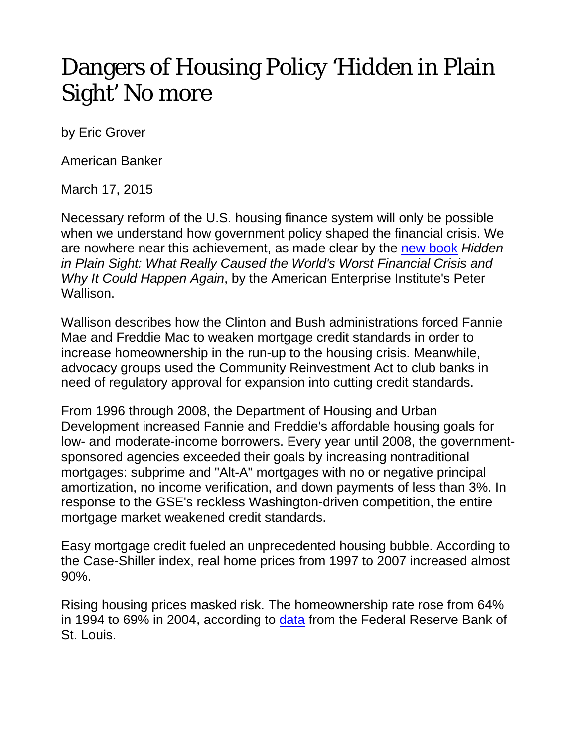## Dangers of Housing Policy 'Hidden in Plain Sight' No more

by Eric Grover

American Banker

March 17, 2015

Necessary reform of the U.S. housing finance system will only be possible when we understand how government policy shaped the financial crisis. We are nowhere near this achievement, as made clear by the [new book](http://www.amazon.com/Hidden-Plain-Sight-World%C2%92s-Financial/dp/1594037701/ref=sr_1_1?ie=UTF8&qid=1425303323&sr=8-1&keywords=hidden+in+plain+sight) *Hidden in Plain Sight: What Really Caused the World's Worst Financial Crisis and Why It Could Happen Again*, by the American Enterprise Institute's Peter Wallison.

Wallison describes how the Clinton and Bush administrations forced Fannie Mae and Freddie Mac to weaken mortgage credit standards in order to increase homeownership in the run-up to the housing crisis. Meanwhile, advocacy groups used the Community Reinvestment Act to club banks in need of regulatory approval for expansion into cutting credit standards.

From 1996 through 2008, the Department of Housing and Urban Development increased Fannie and Freddie's affordable housing goals for low- and moderate-income borrowers. Every year until 2008, the governmentsponsored agencies exceeded their goals by increasing nontraditional mortgages: subprime and "Alt-A" mortgages with no or negative principal amortization, no income verification, and down payments of less than 3%. In response to the GSE's reckless Washington-driven competition, the entire mortgage market weakened credit standards.

Easy mortgage credit fueled an unprecedented housing bubble. According to the Case-Shiller index, real home prices from 1997 to 2007 increased almost 90%.

Rising housing prices masked risk. The homeownership rate rose from 64% in 1994 to 69% in 2004, according to [data](http://research.stlouisfed.org/fred2/series/USHOWN/) from the Federal Reserve Bank of St. Louis.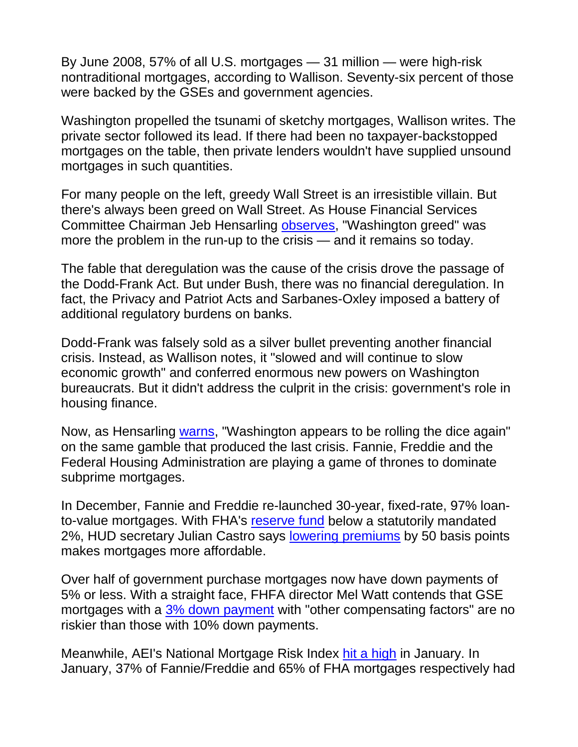By June 2008, 57% of all U.S. mortgages — 31 million — were high-risk nontraditional mortgages, according to Wallison. Seventy-six percent of those were backed by the GSEs and government agencies.

Washington propelled the tsunami of sketchy mortgages, Wallison writes. The private sector followed its lead. If there had been no taxpayer-backstopped mortgages on the table, then private lenders wouldn't have supplied unsound mortgages in such quantities.

For many people on the left, greedy Wall Street is an irresistible villain. But there's always been greed on Wall Street. As House Financial Services Committee Chairman Jeb Hensarling [observes,](http://mfile3.akamai.com/65722/wmv/sos1467-1.streamos.download.akamai.com/65726/hearing012715.asx) "Washington greed" was more the problem in the run-up to the crisis — and it remains so today.

The fable that deregulation was the cause of the crisis drove the passage of the Dodd-Frank Act. But under Bush, there was no financial deregulation. In fact, the Privacy and Patriot Acts and Sarbanes-Oxley imposed a battery of additional regulatory burdens on banks.

Dodd-Frank was falsely sold as a silver bullet preventing another financial crisis. Instead, as Wallison notes, it "slowed and will continue to slow economic growth" and conferred enormous new powers on Washington bureaucrats. But it didn't address the culprit in the crisis: government's role in housing finance.

Now, as Hensarling [warns,](http://www.wsj.com/articles/fannie-freddie-regulator-defends-actions-1422392943) "Washington appears to be rolling the dice again" on the same gamble that produced the last crisis. Fannie, Freddie and the Federal Housing Administration are playing a game of thrones to dominate subprime mortgages.

In December, Fannie and Freddie re-launched 30-year, fixed-rate, 97% loanto-value mortgages. With FHA's [reserve fund](http://financialservices.house.gov/uploadedfiles/022615_hi_memo.pdf) below a statutorily mandated 2%, HUD secretary Julian Castro says [lowering premiums](http://www.cnbc.com/id/102368008) by 50 basis points makes mortgages more affordable.

Over half of government purchase mortgages now have down payments of 5% or less. With a straight face, FHFA director Mel Watt contends that GSE mortgages with a [3% down payment](http://mfile3.akamai.com/65722/wmv/sos1467-1.streamos.download.akamai.com/65726/hearing012715.asx) with "other compensating factors" are no riskier than those with 10% down payments.

Meanwhile, AEI's National Mortgage Risk Index [hit a high](http://www.housingrisk.org/wp-content/uploads/2015/02/AEIs-International-Center-on-Housing-Risk-Briefing-Presentation-February-2015.pdf) in January. In January, 37% of Fannie/Freddie and 65% of FHA mortgages respectively had